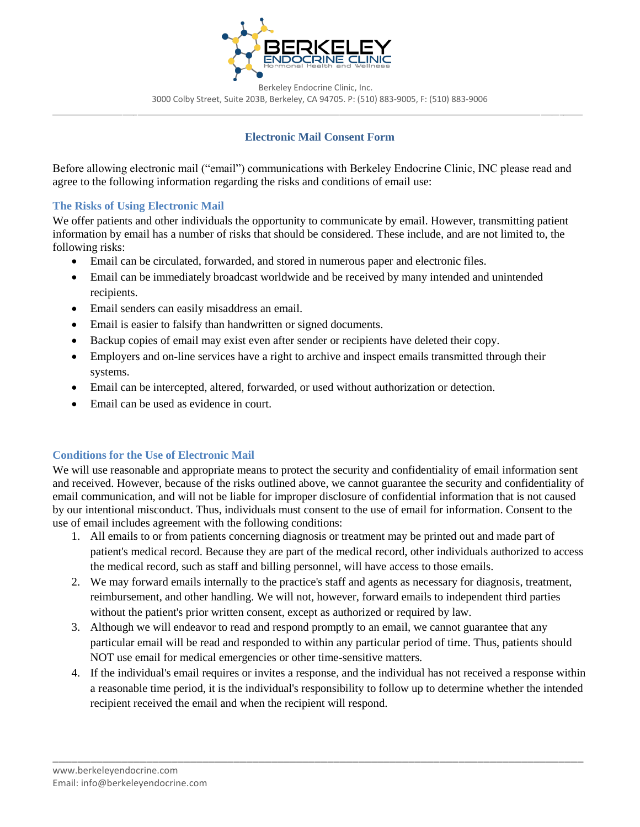

 Berkeley Endocrine Clinic, Inc. 3000 Colby Street, Suite 203B, Berkeley, CA 94705. P: (510) 883-9005, F: (510) 883-9006 \_\_\_\_\_\_\_\_\_\_\_\_\_\_\_\_\_\_\_\_\_\_\_\_\_\_\_\_\_\_\_\_\_\_\_\_\_\_\_\_\_\_\_\_\_\_\_\_\_\_\_\_\_\_\_\_\_\_\_\_\_\_\_\_\_\_\_\_\_\_\_\_\_\_\_\_\_\_\_\_\_\_\_\_\_\_\_\_\_\_\_\_\_\_\_\_\_\_\_\_\_\_\_\_\_\_\_\_\_\_\_\_\_\_\_\_\_\_\_\_\_\_\_\_\_\_\_\_\_\_\_\_\_\_\_\_\_

## **Electronic Mail Consent Form**

Before allowing electronic mail ("email") communications with Berkeley Endocrine Clinic, INC please read and agree to the following information regarding the risks and conditions of email use:

### **The Risks of Using Electronic Mail**

We offer patients and other individuals the opportunity to communicate by email. However, transmitting patient information by email has a number of risks that should be considered. These include, and are not limited to, the following risks:

- Email can be circulated, forwarded, and stored in numerous paper and electronic files.
- Email can be immediately broadcast worldwide and be received by many intended and unintended recipients.
- Email senders can easily misaddress an email.
- Email is easier to falsify than handwritten or signed documents.
- Backup copies of email may exist even after sender or recipients have deleted their copy.
- Employers and on-line services have a right to archive and inspect emails transmitted through their systems.
- Email can be intercepted, altered, forwarded, or used without authorization or detection.
- Email can be used as evidence in court.

#### **Conditions for the Use of Electronic Mail**

We will use reasonable and appropriate means to protect the security and confidentiality of email information sent and received. However, because of the risks outlined above, we cannot guarantee the security and confidentiality of email communication, and will not be liable for improper disclosure of confidential information that is not caused by our intentional misconduct. Thus, individuals must consent to the use of email for information. Consent to the use of email includes agreement with the following conditions:

- 1. All emails to or from patients concerning diagnosis or treatment may be printed out and made part of patient's medical record. Because they are part of the medical record, other individuals authorized to access the medical record, such as staff and billing personnel, will have access to those emails.
- 2. We may forward emails internally to the practice's staff and agents as necessary for diagnosis, treatment, reimbursement, and other handling. We will not, however, forward emails to independent third parties without the patient's prior written consent, except as authorized or required by law.
- 3. Although we will endeavor to read and respond promptly to an email, we cannot guarantee that any particular email will be read and responded to within any particular period of time. Thus, patients should NOT use email for medical emergencies or other time-sensitive matters.
- 4. If the individual's email requires or invites a response, and the individual has not received a response within a reasonable time period, it is the individual's responsibility to follow up to determine whether the intended recipient received the email and when the recipient will respond.

\_\_\_\_\_\_\_\_\_\_\_\_\_\_\_\_\_\_\_\_\_\_\_\_\_\_\_\_\_\_\_\_\_\_\_\_\_\_\_\_\_\_\_\_\_\_\_\_\_\_\_\_\_\_\_\_\_\_\_\_\_\_\_\_\_\_\_\_\_\_\_\_\_\_\_\_\_\_\_\_\_\_\_\_\_